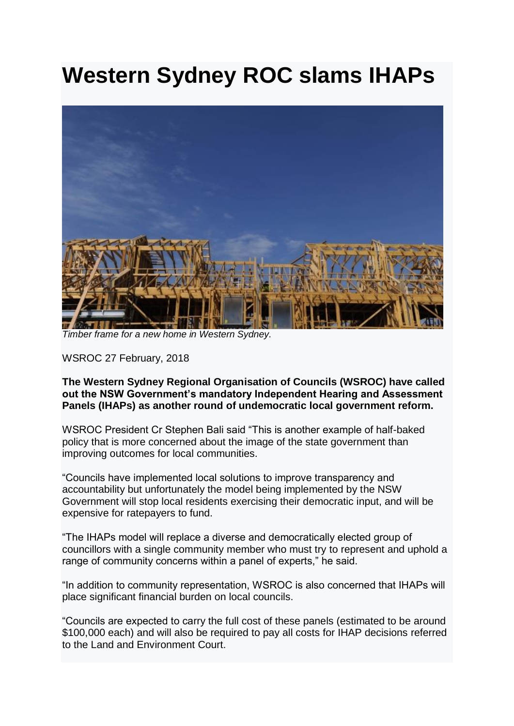## **Western Sydney ROC slams IHAPs**



*Timber frame for a new home in Western Sydney.*

WSROC 27 February, 2018

**The Western Sydney Regional Organisation of Councils (WSROC) have called out the NSW Government's mandatory Independent Hearing and Assessment Panels (IHAPs) as another round of undemocratic local government reform.**

WSROC President Cr Stephen Bali said "This is another example of half-baked policy that is more concerned about the image of the state government than improving outcomes for local communities.

"Councils have implemented local solutions to improve transparency and accountability but unfortunately the model being implemented by the NSW Government will stop local residents exercising their democratic input, and will be expensive for ratepayers to fund.

"The IHAPs model will replace a diverse and democratically elected group of councillors with a single community member who must try to represent and uphold a range of community concerns within a panel of experts," he said.

"In addition to community representation, WSROC is also concerned that IHAPs will place significant financial burden on local councils.

"Councils are expected to carry the full cost of these panels (estimated to be around \$100,000 each) and will also be required to pay all costs for IHAP decisions referred to the Land and Environment Court.